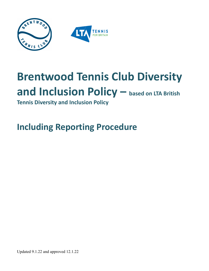

# **Brentwood Tennis Club Diversity and Inclusion Policy – based on LTA British**

<span id="page-0-0"></span>**Tennis Diversity and Inclusion Policy**

**Including Reporting Procedure**

Updated 9.1.22 and approved 12.1.22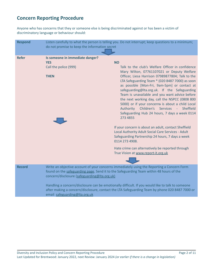# **Concern Reporting Procedure**

Anyone who has concerns that they or someone else is being discriminated against or has been a victim of discriminatory language or behaviour should:

| <b>Respond</b> | Listen carefully to what the person is telling you. Do not interrupt; keep questions to a minimum;<br>do not promise to keep the information secret                                                                                                                                                                                                                                                                                                                          |                                                                                                                                                                                                                                                                                                                                                                                                                                                                                                                                                                                      |
|----------------|------------------------------------------------------------------------------------------------------------------------------------------------------------------------------------------------------------------------------------------------------------------------------------------------------------------------------------------------------------------------------------------------------------------------------------------------------------------------------|--------------------------------------------------------------------------------------------------------------------------------------------------------------------------------------------------------------------------------------------------------------------------------------------------------------------------------------------------------------------------------------------------------------------------------------------------------------------------------------------------------------------------------------------------------------------------------------|
| <b>Refer</b>   | Is someone in immediate danger?<br><b>YES</b><br>Call the police (999)<br><b>THEN</b>                                                                                                                                                                                                                                                                                                                                                                                        | <b>NO</b><br>Talk to the club's Welfare Officer in confidence<br>Mary Wilton, 07761107021 or Deputy Welfare<br>Officer, Liesa Harrison 07989877804; Talk to the<br>LTA Safeguarding Team * (020 8487 7000) as soon<br>as possible [Mon-Fri, 9am-5pm] or contact at<br>safeguarding@lta.org.uk. If the Safeguarding<br>Team is unavailable and you want advice before<br>the next working day, call the NSPCC (0808 800<br>5000) or if your concerns is about a child Local<br>Authority Children's Services - Sheffield<br>Safeguarding Hub 24 hours, 7 days a week 0114<br>273 4855 |
|                |                                                                                                                                                                                                                                                                                                                                                                                                                                                                              | If your concern is about an adult, contact Sheffield<br>Local Authority Adult Social Care Services - Adult<br>Safeguarding Partnership 24 hours, 7 days a week<br>0114 273 4908.                                                                                                                                                                                                                                                                                                                                                                                                     |
|                |                                                                                                                                                                                                                                                                                                                                                                                                                                                                              | Hate crime can alternatively be reported through<br>True Vision at www.report-it.org.uk                                                                                                                                                                                                                                                                                                                                                                                                                                                                                              |
| <b>Record</b>  | Write an objective account of your concerns immediately using the Reporting a Concern Form<br>found on the safeguarding page. Send it to the Safeguarding Team within 48 hours of the<br>concern/disclosure (safeguarding@Ita.org.uk)<br>Handling a concern/disclosure can be emotionally difficult. If you would like to talk to someone<br>after making a concern/disclosure, contact the LTA Safeguarding Team by phone 020 8487 7000 or<br>email safeguarding@Ita.org.uk |                                                                                                                                                                                                                                                                                                                                                                                                                                                                                                                                                                                      |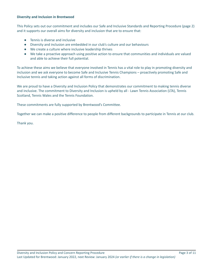#### **Diversity and Inclusion in Brentwood**

This Policy sets out our commitment and includes our Safe and Inclusive Standards and Reporting Procedure (page 2) and it supports our overall aims for diversity and inclusion that are to ensure that:

- Tennis is diverse and inclusive
- Diversity and inclusion are embedded in our club's culture and our behaviours
- We create a culture where inclusive leadership thrives
- We take a proactive approach using positive action to ensure that communities and individuals are valued and able to achieve their full potential.

To achieve these aims we believe that everyone involved in Tennis has a vital role to play in promoting diversity and inclusion and we ask everyone to become Safe and Inclusive Tennis Champions – proactively promoting Safe and Inclusive tennis and taking action against all forms of discrimination.

We are proud to have a Diversity and Inclusion Policy that demonstrates our commitment to making tennis diverse and inclusive. The commitment to Diversity and Inclusion is upheld by all - Lawn Tennis Association (LTA), Tennis Scotland, Tennis Wales and the Tennis Foundation.

These commitments are fully supported by Brentwood's Committee.

Together we can make a positive difference to people from different backgrounds to participate in Tennis at our club.

Thank you.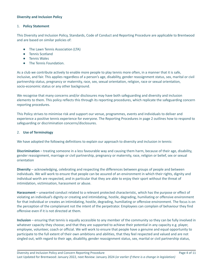# **Diversity and Inclusion Policy**

# 1. **Policy Statement**

This Diversity and Inclusion Policy, Standards, Code of Conduct and Reporting Procedure are applicable to Brentwood and are based on similar policies of:

- The Lawn Tennis Association (LTA)
- Tennis Scotland
- Tennis Wales
- The Tennis Foundation.

As a club we contribute actively to enable more people to play tennis more often, in a manner that it is safe, inclusive, and fair. This applies regardless of a person's age, disability, gender reassignment status, sex, marital or civil partnership status, pregnancy or maternity, race, sex, sexual orientation, religion, race or sexual orientation, socio-economic status or any other background.

We recognise that many concerns and/or disclosures may have both safeguarding and diversity and inclusion elements to them. This policy reflects this through its reporting procedures, which replicate the safeguarding concern reporting procedures.

This Policy strives to minimise risk and support our venue, programmes, events and individuals to deliver and experience a positive tennis experience for everyone. The Reporting Procedures in page 2 outlines how to respond to safeguarding or discrimination concerns/disclosures.

# 2. **Use of Terminology**

We have adopted the following definitions to explain our approach to diversity and inclusion in tennis:

**Discrimination** – treating someone in a less favourable way and causing them harm, because of their age, disability, gender reassignment, marriage or civil partnership, pregnancy or maternity, race, religion or belief, sex or sexual orientation

**Diversity** – acknowledging, celebrating and respecting the differences between groups of people and between individuals. We will work to ensure that people can be assured of an environment in which their rights, dignity and individual worth are respected, and in particular that they are able to enjoy their sport without the threat of intimidation, victimisation, harassment or abuse.

**Harassment** – unwanted conduct related to a relevant protected characteristic, which has the purpose or effect of violating an individual's dignity or creating and intimidating, hostile, degrading, humiliating or offensive environment for that individual or creates an intimidating, hostile, degrading, humiliating or offensive environment. The focus is on the perception of the complainant not the intent of the perpetrator. Employees can complain of behaviour they find offensive even if it is not directed at them.

**Inclusion** – ensuring that tennis is equally accessible to any member of the community so they can be fully involved in whatever capacity they choose; and that they are supported to achieve their potential in any capacity e.g. player, employee, volunteer, coach or official. We will work to ensure that people have a genuine and equal opportunity to participate to the full extent of their own ambitions and abilities, that they feel respected and valued and are not singled out, with regard to their age, disability, gender reassignment status, sex, marital or civil partnership status,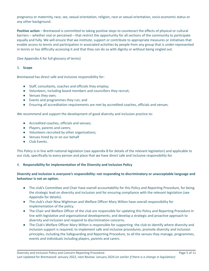pregnancy or maternity, race, sex, sexual orientation, religion, race or sexual orientation, socio-economic status or any other background.

**Positive action** – Brentwood is committed to taking positive steps to counteract the effects of physical or cultural barriers – whether real or perceived – that restrict the opportunity for all sections of the community to participate equally and fully. We will ensure that we institute, support or contribute to appropriate measures or initiatives that enable access to tennis and participation in associated activities by people from any group that is under-represented in tennis or has difficulty accessing it and that they can do so with dignity or without being singled out.

(See Appendix A for full glossary of terms)

# 3. **Scope**

Brentwood has direct safe and inclusive responsibility for:

- Staff, consultants, coaches and officials they employ;
- Volunteers, including board members and councillors they recruit;
- Venues they own;
- Events and programmes they run; and
- Ensuring all accreditation requirements are met by accredited coaches, officials and venues.

We recommend and support the development of good diversity and inclusion practice to:

- Accredited coaches, officials and venues;
- Players, parents and carers;
- Volunteers recruited by other organisations;
- Venues hired by or on our behalf
- Club Events.

This Policy is in line with national legislation (see appendix B for details of the relevant legislation) and applicable to our club, specifically to every person and place that we have direct safe and inclusive responsibility for.

# 4. **Responsibility for implementation of the Diversity and Inclusion Policy**

# **Diversity and inclusion is everyone's responsibility: not responding to discriminatory or unacceptable language and behaviour is not an option.**

- The club's Committee and Chair have overall accountability for this Policy and Reporting Procedure, for being the strategic lead on diversity and inclusion and for ensuring compliance with the relevant legislation (see Appendix for details).
- The club's chair Nina Wightman and Welfare Officer Mary Wilton have overall responsibility for implementation of the policy.
- The Chair and Welfare Officer of the club are responsible for updating this Policy and Reporting Procedure in line with legislative and organisational developments; and develop a strategic and proactive approach to diversity and inclusion and respond to discrimination concerns.
- The Club's Welfare Officer Mary Wilton is responsible for supporting the club to identify where diversity and inclusion support is required; to implement safe and inclusive procedures; promote diversity and inclusion principles, including the Safeguarding and Reporting Procedure, to all the venues they manage, programmes, events and individuals including players, parents and carers.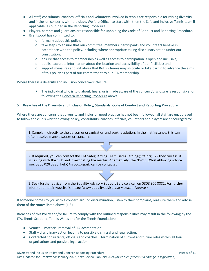- All staff, consultants, coaches, officials and volunteers involved in tennis are responsible for raising diversity and inclusion concerns with the club's Welfare Officer to start with; then the Safe and Inclusive Tennis team if applicable, as outlined in the Reporting Procedure.
- Players, parents and guardians are responsible for upholding the Code of Conduct and Reporting Procedure.
- Brentwood has committed to:
	- o formally adopt this policy,
	- o take steps to ensure that our committee, members, participants and volunteers behave in accordance with the policy, including where appropriate taking disciplinary action under our constitution;
	- o ensure that access to membership as well as access to participation is open and inclusive;
	- o publish accurate information about the location and accessibility of our facilities; and
	- o support measures and initiatives that British Tennis may institute or take part in to advance the aims of this policy as part of our commitment to our LTA membership.

Where there is a diversity and inclusion concern/disclosure:

● The individual who is told about, hears, or is made aware of the concern/disclosure is responsible for following the Concern Reporting [Procedure](#page-0-0) above

#### 5. **Breaches of the Diversity and Inclusion Policy, Standards, Code of Conduct and Reporting Procedure**

Where there are concerns that diversity and inclusion good practice has not been followed, all staff are encouraged to follow the club's whistleblowing policy; consultants, coaches, officials, volunteers and players are encouraged to:

1. Complain directly to the person or organisation and seek resolution. In the first instance, this can often resolve many disputes or concerns.

2. If required, you can contact the LTA Safeguarding Team: safeguarding@lta.org.uk - they can assist in liaising with the club and investigating the matter. Alternatively, the NSPCC Whistleblowing advice line: 0800 028 0285; help@nspcc.org.uk can be contacted.

3. Seek further advice from the Equality Advisory Support Service a call on 0808 800 0082. For further information their website is: http://www.equalityadvisoryservice.com/app/ask

If someone comes to you with a concern around discrimination, listen to their complaint, reassure them and advise them of the routes listed above (1-3).

Breaches of this Policy and/or failure to comply with the outlined responsibilities may result in the following by the LTA, Tennis Scotland, Tennis Wales and/or the Tennis Foundation:

- Venues Potential removal of LTA accreditation
- Staff disciplinary action leading to possible dismissal and legal action.
- Contracted consultants, officials and coaches termination of current and future roles within all four organisations and possible legal action.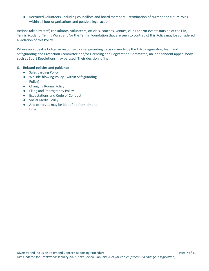● Recruited volunteers, including councillors and board members – termination of current and future roles within all four organisations and possible legal action.

Actions taken by staff, consultants, volunteers, officials, coaches, venues, clubs and/or events outside of the LTA, Tennis Scotland, Tennis Wales and/or the Tennis Foundation that are seen to contradict this Policy may be considered a violation of this Policy.

Where an appeal is lodged in response to a safeguarding decision made by the LTA Safeguarding Team and Safeguarding and Protection Committee and/or Licensing and Registration Committee, an independent appeal body such as Sport Resolutions may be used. Their decision is final.

# 6. **Related policies and guidance**

- Safeguarding Policy
- Whistle-blowing Policy ( within Safeguarding Policy)
- Changing Rooms Policy
- Filing and Photography Policy
- Expectations and Code of Conduct
- Social Media Policy
- And others as may be identified from time to time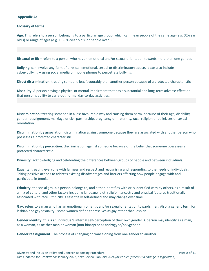### **Appendix A:**

#### **Glossary of terms**

**Age:** This refers to a person belonging to a particular age group, which can mean people of the same age (e.g. 32-year old's) or range of ages (e.g. 18 - 30-year old's, or people over 50).

**Bisexual or Bi:** – refers to a person who has an emotional and/or sexual orientation towards more than one gender.

**Bullying:** can involve any form of physical, emotional, sexual or discriminatory abuse. It can also include cyber-bullying – using social media or mobile phones to perpetrate bullying.

**Direct discrimination:** treating someone less favourably than another person because of a protected characteristic.

**Disability:** A person having a physical or mental impairment that has a substantial and long-term adverse effect on that person's ability to carry out normal day-to-day activities.

**Discrimination:** treating someone in a less favourable way and causing them harm, because of their age, disability, gender reassignment, marriage or civil partnership, pregnancy or maternity, race, religion or belief, sex or sexual orientation.

**Discrimination by association:** discrimination against someone because they are associated with another person who possesses a protected characteristic.

**Discrimination by perception:** discrimination against someone because of the belief that someone possesses a protected characteristic.

**Diversity:** acknowledging and celebrating the differences between groups of people and between individuals**.**

**Equality**: treating everyone with fairness and respect and recognising and responding to the needs of individuals. Taking positive actions to address existing disadvantages and barriers affecting how people engage with and participate in tennis.

**Ethnicity**: the social group a person belongs to, and either identifies with or is identified with by others, as a result of a mix of cultural and other factors including language, diet, religion, ancestry and physical features traditionally associated with race. Ethnicity is essentially self-defined and may change over time.

**Gay**: refers to a man who has an emotional, romantic and/or sexual orientation towards men. Also, a generic term for lesbian and gay sexuality - some women define themselves as gay rather than lesbian.

**Gender identity: t**his is an individual's internal self-perception of their own gender. A person may identify as a man, as a woman, as neither man or woman (non-binary) or as androgyne/polygender.

**Gender reassignment**: The process of changing or transitioning from one gender to another.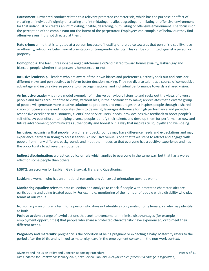**Harassment:** unwanted conduct related to a relevant protected characteristic, which has the purpose or effect of violating an individual's dignity or creating and intimidating, hostile, degrading, humiliating or offensive environment for that individual or creates an intimidating, hostile, degrading, humiliating or offensive environment. The focus is on the perception of the complainant not the intent of the perpetrator. Employees can complain of behaviour they find offensive even if it is not directed at them.

**Hate crime:** crime that is targeted at a person because of hostility or prejudice towards that person's disability, race or ethnicity, religion or belief, sexual orientation or transgender identity. This can be committed against a person or property.

**Homophobia**: the fear, unreasonable anger, intolerance or/and hatred toward homosexuality, lesbian gay and bisexual people whether that person is homosexual or not.

**Inclusive leadership** – leaders who are aware of their own biases and preferences, actively seek out and consider different views and perspectives to inform better decision-making. They see diverse talent as a source of competitive advantage and inspire diverse people to drive organisational and individual performance towards a shared vision.

**An Inclusive Leader** – is a role model exemplar of inclusive behaviour; listens to and seeks out the views of diverse people and takes account of these views, without bias, in the decisions they make; appreciates that a diverse group of people will generate more creative solutions to problems and encourages this; inspires people through a shared vision of future success and motivates them to deliver it; leverages difference for high performance and provides responsive excellence to customers', clients' and service users' needs; provides positive feedback to boost people's self-efficacy; puts effort into helping diverse people identify their talents and develop them for performance now and future advancement; communicates authentically and honestly in a way that inspires trust, loyalty and well-being.

**Inclusion:** recognising that people from different backgrounds may have difference needs and expectations and may experience barriers in trying to access tennis. An inclusive venue is one that takes steps to attract and engage with people from many different backgrounds and meet their needs so that everyone has a positive experience and has the opportunity to achieve their potential.

**Indirect discrimination:** a practice, policy or rule which applies to everyone in the same way, but that has a worse effect on some people than others.

**LGBTQ:** an acronym for Lesbian, Gay, Bisexual, Trans and Questioning.

**Lesbian**: a woman who has an emotional romantic and /or sexual orientation towards women.

**Monitoring equality**: refers to data collection and analysis to check if people with protected characteristics are participating and being treated equally. For example: monitoring of the number of people with a disability who play tennis at our venue.

**Non-binary** – an umbrella term for a person who does not identify as only male or only female, or who may identify as both.

**Positive action:** a range of lawful actions that seek to overcome or minimise disadvantages (for example in employment opportunities) that people who share a protected characteristic have experienced, or to meet their different needs.

**Pregnancy and maternity**: pregnancy is the condition of being pregnant or expecting a baby. Maternity refers to the period after the birth, and is linked to maternity leave in the employment context. In the non-work context,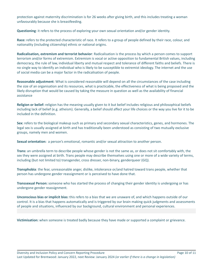protection against maternity discrimination is for 26 weeks after giving birth, and this includes treating a woman unfavourably because she is breastfeeding.

**Questioning**: it refers to the process of exploring your own sexual orientation and/or gender identity.

**Race:** refers to the protected characteristic of race. It refers to a group of people defined by their race, colour, and nationality (including citizenship) ethnic or national origins.

**Radicalisation, extremism and terrorist behavior**: Radicalisation is the process by which a person comes to support terrorism and/or forms of extremism. Extremism is vocal or active opposition to fundamental British values, including democracy, the rule of law, individual liberty and mutual respect and tolerance of different faiths and beliefs. There is no single way to identify an individual who is likely to be susceptible to extremist ideology. The internet and the use of social media can be a major factor in the radicalisation of people.

**Reasonable adjustment**: What is considered reasonable will depend on all the circumstances of the case including the size of an organisation and its resources, what is practicable, the effectiveness of what is being proposed and the likely disruption that would be caused by taking the measure in question as well as the availability of financial assistance

**Religion or belief:** religion has the meaning usually given to it but belief includes religious and philosophical beliefs including lack of belief (e.g. atheism). Generally, a belief should affect your life choices or the way you live for it to be included in the definition.

**Sex:** refers to the biological makeup such as primary and secondary sexual characteristics, genes, and hormones. The legal sex is usually assigned at birth and has traditionally been understood as consisting of two mutually exclusive groups, namely men and women.

**Sexual orientation:** a person's emotional, romantic and/or sexual attraction to another person.

**Trans:** an umbrella term to describe people whose gender is not the same as, or does not sit comfortably with, the sex they were assigned at birth. Trans people may describe themselves using one or more of a wide variety of terms, including (but not limited to) transgender, cross dresser, non-binary, genderqueer (GQ).

**Transphobia**: the fear, unreasonable anger, dislike, intolerance or/and hatred toward trans people, whether that person has undergone gender reassignment or is perceived to have done that.

**Transsexual Person:** someone who has started the process of changing their gender identity is undergoing or has undergone gender reassignment.

**Unconscious bias or implicit bias:** this refers to a bias that we are unaware of, and which happens outside of our control. It is a bias that happens automatically and is triggered by our brain making quick judgments and assessments of people and situations, influenced by our background, cultural environment and personal experiences.

**Victimisation:** when someone is treated badly because they have made or supported a complaint or grievance.